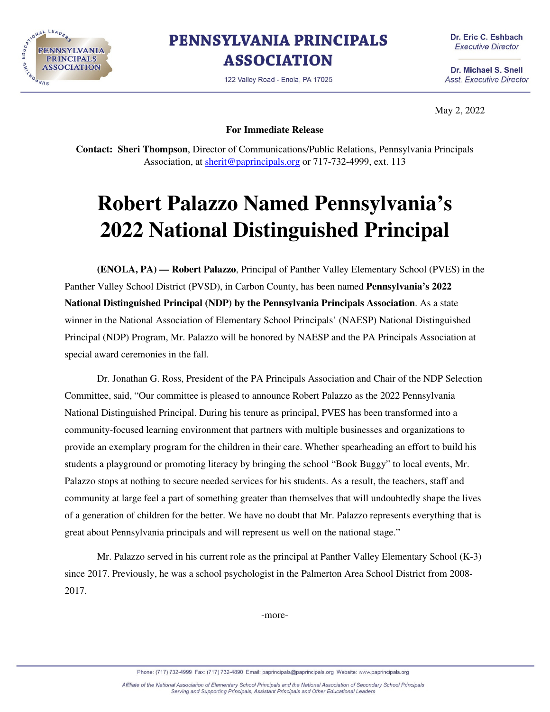

**PENNSYLVANIA PRINCIPALS ASSOCIATION** 

122 Valley Road - Enola, PA 17025

Dr. Eric C. Eshbach **Executive Director** 

Dr. Michael S. Snell **Asst. Executive Director** 

May 2, 2022

**For Immediate Release** 

**Contact: Sheri Thompson**, Director of Communications/Public Relations, Pennsylvania Principals Association, at sherit@paprincipals.org or 717-732-4999, ext. 113

## **Robert Palazzo Named Pennsylvania's 2022 National Distinguished Principal**

 **(ENOLA, PA) — Robert Palazzo**, Principal of Panther Valley Elementary School (PVES) in the Panther Valley School District (PVSD), in Carbon County, has been named **Pennsylvania's 2022 National Distinguished Principal (NDP) by the Pennsylvania Principals Association**. As a state winner in the National Association of Elementary School Principals' (NAESP) National Distinguished Principal (NDP) Program, Mr. Palazzo will be honored by NAESP and the PA Principals Association at special award ceremonies in the fall.

 Dr. Jonathan G. Ross, President of the PA Principals Association and Chair of the NDP Selection Committee, said, "Our committee is pleased to announce Robert Palazzo as the 2022 Pennsylvania National Distinguished Principal. During his tenure as principal, PVES has been transformed into a community-focused learning environment that partners with multiple businesses and organizations to provide an exemplary program for the children in their care. Whether spearheading an effort to build his students a playground or promoting literacy by bringing the school "Book Buggy" to local events, Mr. Palazzo stops at nothing to secure needed services for his students. As a result, the teachers, staff and community at large feel a part of something greater than themselves that will undoubtedly shape the lives of a generation of children for the better. We have no doubt that Mr. Palazzo represents everything that is great about Pennsylvania principals and will represent us well on the national stage."

Mr. Palazzo served in his current role as the principal at Panther Valley Elementary School (K-3) since 2017. Previously, he was a school psychologist in the Palmerton Area School District from 2008- 2017.

-more-

Phone: (717) 732-4999 Fax: (717) 732-4890 Email: paprincipals@paprincipals.org Website: www.paprincipals.org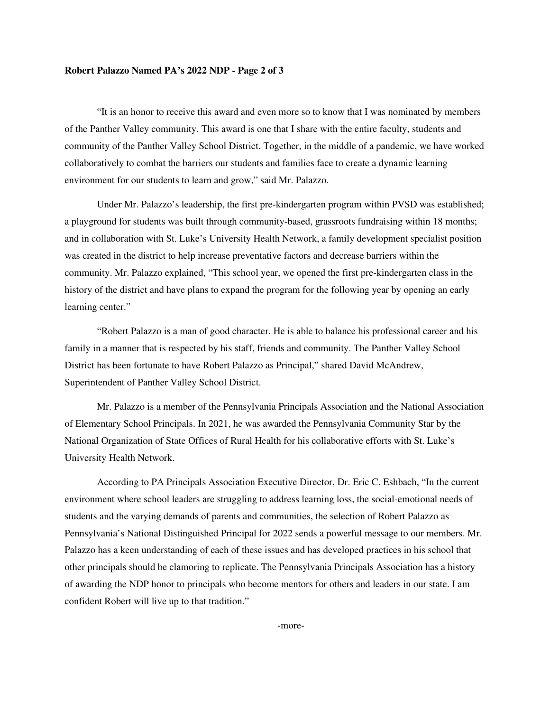## **Robert Palazzo Named PA's 2022 NDP - Page 2 of 3**

"It is an honor to receive this award and even more so to know that I was nominated by members of the Panther Valley community. This award is one that I share with the entire faculty, students and community of the Panther Valley School District. Together, in the middle of a pandemic, we have worked collaboratively to combat the barriers our students and families face to create a dynamic learning environment for our students to learn and grow," said Mr. Palazzo.

Under Mr. Palazzo's leadership, the first pre-kindergarten program within PVSD was established; a playground for students was built through community-based, grassroots fundraising within 18 months; and in collaboration with St. Luke's University Health Network, a family development specialist position was created in the district to help increase preventative factors and decrease barriers within the community. Mr. Palazzo explained, "This school year, we opened the first pre-kindergarten class in the history of the district and have plans to expand the program for the following year by opening an early learning center."

"Robert Palazzo is a man of good character. He is able to balance his professional career and his family in a manner that is respected by his staff, friends and community. The Panther Valley School District has been fortunate to have Robert Palazzo as Principal," shared David McAndrew, Superintendent of Panther Valley School District.

Mr. Palazzo is a member of the Pennsylvania Principals Association and the National Association of Elementary School Principals. In 2021, he was awarded the Pennsylvania Community Star by the National Organization of State Offices of Rural Health for his collaborative efforts with St. Luke's University Health Network.

According to PA Principals Association Executive Director, Dr. Eric C. Eshbach, "In the current environment where school leaders are struggling to address learning loss, the social-emotional needs of students and the varying demands of parents and communities, the selection of Robert Palazzo as Pennsylvania's National Distinguished Principal for 2022 sends a powerful message to our members. Mr. Palazzo has a keen understanding of each of these issues and has developed practices in his school that other principals should be clamoring to replicate. The Pennsylvania Principals Association has a history of awarding the NDP honor to principals who become mentors for others and leaders in our state. I am confident Robert will live up to that tradition."

-more-